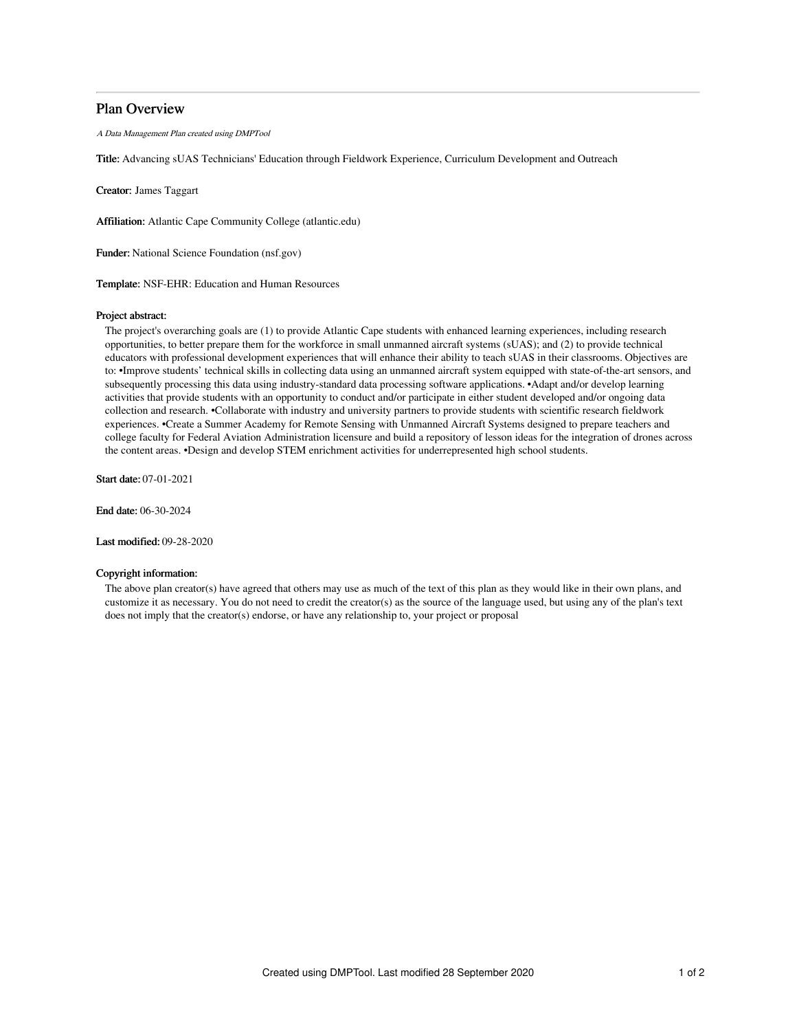## Plan Overview

A Data Management Plan created using DMPTool

Title: Advancing sUAS Technicians' Education through Fieldwork Experience, Curriculum Development and Outreach

Creator: James Taggart

Affiliation: Atlantic Cape Community College (atlantic.edu)

Funder: National Science Foundation (nsf.gov)

Template: NSF-EHR: Education and Human Resources

## Project abstract:

The project's overarching goals are (1) to provide Atlantic Cape students with enhanced learning experiences, including research opportunities, to better prepare them for the workforce in small unmanned aircraft systems (sUAS); and (2) to provide technical educators with professional development experiences that will enhance their ability to teach sUAS in their classrooms. Objectives are to: •Improve students' technical skills in collecting data using an unmanned aircraft system equipped with state-of-the-art sensors, and subsequently processing this data using industry-standard data processing software applications. •Adapt and/or develop learning activities that provide students with an opportunity to conduct and/or participate in either student developed and/or ongoing data collection and research. •Collaborate with industry and university partners to provide students with scientific research fieldwork experiences. •Create a Summer Academy for Remote Sensing with Unmanned Aircraft Systems designed to prepare teachers and college faculty for Federal Aviation Administration licensure and build a repository of lesson ideas for the integration of drones across the content areas. •Design and develop STEM enrichment activities for underrepresented high school students.

Start date: 07-01-2021

End date: 06-30-2024

Last modified: 09-28-2020

## Copyright information:

The above plan creator(s) have agreed that others may use as much of the text of this plan as they would like in their own plans, and customize it as necessary. You do not need to credit the creator(s) as the source of the language used, but using any of the plan's text does not imply that the creator(s) endorse, or have any relationship to, your project or proposal